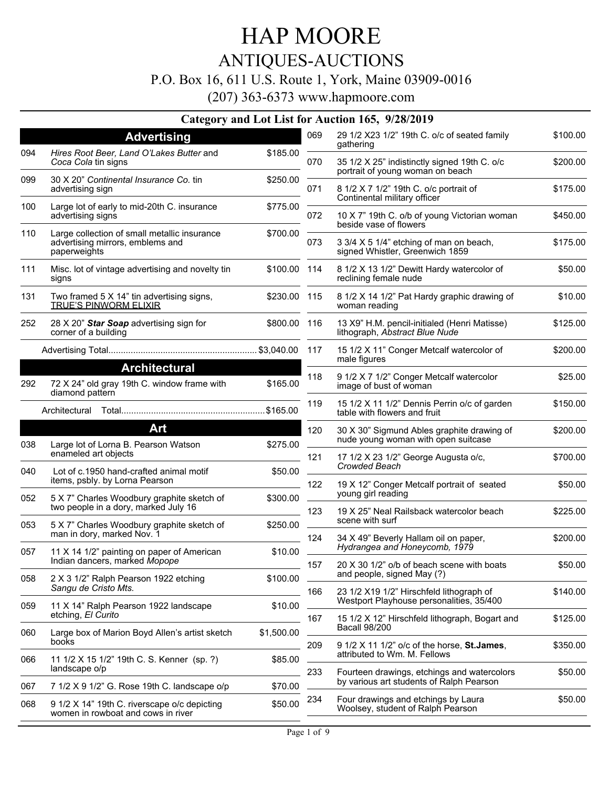### ANTIQUES-AUCTIONS

#### P.O. Box 16, 611 U.S. Route 1, York, Maine 03909-0016

(207) 363-6373 www.hapmoore.com

#### **Category and Lot List for Auction 165, 9/28/2019**

|     | <b>Advertising</b>                                                                               |              | 069 | 29 1/2 X23 1/2" 19th C. o/c of seated family<br>gathering                                  | \$100.00 |
|-----|--------------------------------------------------------------------------------------------------|--------------|-----|--------------------------------------------------------------------------------------------|----------|
| 094 | Hires Root Beer, Land O'Lakes Butter and<br>Coca Cola tin signs                                  | \$185.00     | 070 | 35 1/2 X 25" indistinctly signed 19th C. o/c<br>portrait of young woman on beach           | \$200.00 |
| 099 | 30 X 20" Continental Insurance Co. tin<br>advertising sign                                       | \$250.00     | 071 | 8 1/2 X 7 1/2" 19th C. o/c portrait of<br>Continental military officer                     | \$175.00 |
| 100 | Large lot of early to mid-20th C. insurance<br>advertising signs                                 | \$775.00     | 072 | 10 X 7" 19th C. o/b of young Victorian woman<br>beside vase of flowers                     | \$450.00 |
| 110 | Large collection of small metallic insurance<br>advertising mirrors, emblems and<br>paperweights | \$700.00     | 073 | 3 3/4 X 5 1/4" etching of man on beach,<br>signed Whistler, Greenwich 1859                 | \$175.00 |
| 111 | Misc. lot of vintage advertising and novelty tin<br>signs                                        | \$100.00 114 |     | 8 1/2 X 13 1/2" Dewitt Hardy watercolor of<br>reclining female nude                        | \$50.00  |
| 131 | Two framed 5 X 14" tin advertising signs,<br><b>TRUE'S PINWORM ELIXIR</b>                        | \$230.00 115 |     | 8 1/2 X 14 1/2" Pat Hardy graphic drawing of<br>woman reading                              | \$10.00  |
| 252 | 28 X 20" Star Soap advertising sign for<br>corner of a building                                  | \$800.00 116 |     | 13 X9" H.M. pencil-initialed (Henri Matisse)<br>lithograph, Abstract Blue Nude             | \$125.00 |
|     |                                                                                                  |              |     | 15 1/2 X 11" Conger Metcalf watercolor of<br>male figures                                  | \$200.00 |
| 292 | <b>Architectural</b><br>72 X 24" old gray 19th C. window frame with<br>diamond pattern           | \$165.00     | 118 | 9 1/2 X 7 1/2" Conger Metcalf watercolor<br>image of bust of woman                         | \$25.00  |
|     |                                                                                                  |              | 119 | 15 1/2 X 11 1/2" Dennis Perrin o/c of garden<br>table with flowers and fruit               | \$150.00 |
|     | Art                                                                                              |              | 120 | 30 X 30" Sigmund Ables graphite drawing of                                                 | \$200.00 |
| 038 | Large lot of Lorna B. Pearson Watson                                                             | \$275.00     |     | nude young woman with open suitcase                                                        |          |
| 040 | enameled art objects<br>Lot of c.1950 hand-crafted animal motif                                  | \$50.00      | 121 | 17 1/2 X 23 1/2" George Augusta o/c,<br>Crowded Beach                                      | \$700.00 |
| 052 | items, psbly. by Lorna Pearson<br>5 X 7" Charles Woodbury graphite sketch of                     | \$300.00     | 122 | 19 X 12" Conger Metcalf portrait of seated<br>young girl reading                           | \$50.00  |
|     | two people in a dory, marked July 16                                                             |              | 123 | 19 X 25" Neal Railsback watercolor beach<br>scene with surf                                | \$225.00 |
| 053 | 5 X 7" Charles Woodbury graphite sketch of<br>man in dory, marked Nov. 1                         | \$250.00     | 124 | 34 X 49" Beverly Hallam oil on paper,                                                      | \$200.00 |
| 057 | 11 X 14 1/2" painting on paper of American<br>Indian dancers, marked Mopope                      | \$10.00      |     | Hydrangea and Honeycomb, 1979                                                              |          |
| 058 | 2 X 3 1/2" Ralph Pearson 1922 etching                                                            | \$100.00     | 157 | 20 X 30 1/2" o/b of beach scene with boats<br>and people, signed May (?)                   | \$50.00  |
|     | Sangu de Cristo Mts.                                                                             |              | 166 | 23 1/2 X19 1/2" Hirschfeld lithograph of                                                   | \$140.00 |
| 059 | 11 X 14" Ralph Pearson 1922 landscape<br>etching, El Curito                                      | \$10.00      | 167 | Westport Playhouse personalities, 35/400<br>15 1/2 X 12" Hirschfeld lithograph, Bogart and | \$125.00 |
| 060 | Large box of Marion Boyd Allen's artist sketch                                                   | \$1,500.00   |     | <b>Bacall 98/200</b>                                                                       |          |
| 066 | books<br>11 1/2 X 15 1/2" 19th C. S. Kenner (sp. ?)                                              |              | 209 | 9 1/2 X 11 1/2" o/c of the horse, St.James,<br>attributed to Wm. M. Fellows                | \$350.00 |
|     | landscape o/p                                                                                    | \$85.00      | 233 | Fourteen drawings, etchings and watercolors                                                | \$50.00  |
| 067 | 7 1/2 X 9 1/2" G. Rose 19th C. landscape o/p                                                     | \$70.00      |     | by various art students of Ralph Pearson                                                   |          |
| 068 | 9 1/2 X 14" 19th C. riverscape o/c depicting<br>women in rowboat and cows in river               | \$50.00      | 234 | Four drawings and etchings by Laura<br>Woolsey, student of Ralph Pearson                   | \$50.00  |
|     |                                                                                                  |              |     |                                                                                            |          |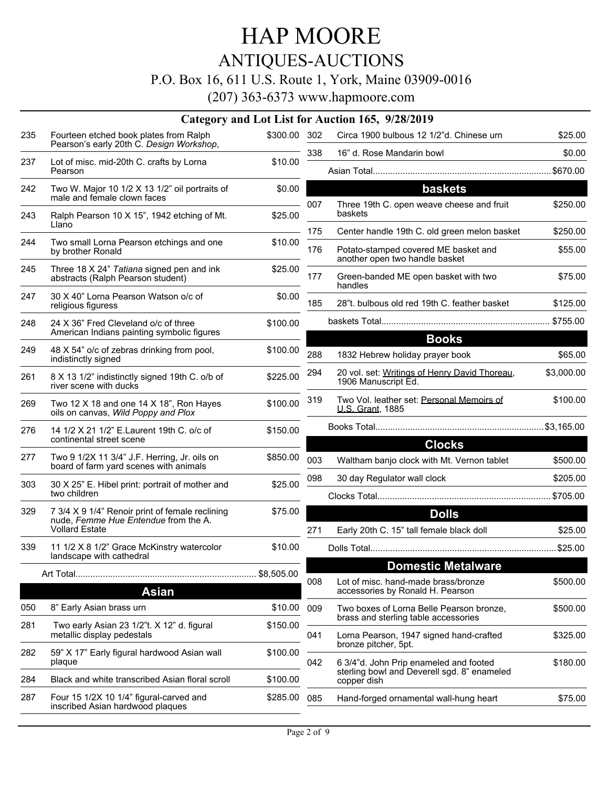## ANTIQUES-AUCTIONS

### P.O. Box 16, 611 U.S. Route 1, York, Maine 03909-0016

|     |                                                                                         |              |            | Category and Lot List for Auction 165, 9/28/2019                                                                       |                     |
|-----|-----------------------------------------------------------------------------------------|--------------|------------|------------------------------------------------------------------------------------------------------------------------|---------------------|
| 235 | Fourteen etched book plates from Ralph<br>Pearson's early 20th C. Design Workshop,      | \$300.00 302 |            | Circa 1900 bulbous 12 1/2"d. Chinese urn                                                                               | \$25.00             |
|     |                                                                                         |              | 338        | 16" d. Rose Mandarin bowl                                                                                              | \$0.00              |
| 237 | Lot of misc. mid-20th C. crafts by Lorna<br>Pearson                                     | \$10.00      |            |                                                                                                                        |                     |
| 242 | Two W. Major 10 1/2 X 13 1/2" oil portraits of                                          | \$0.00       |            | baskets                                                                                                                |                     |
|     | male and female clown faces                                                             |              | 007        | Three 19th C. open weave cheese and fruit                                                                              | \$250.00            |
| 243 | Ralph Pearson 10 X 15", 1942 etching of Mt.<br>Llano                                    | \$25.00      |            | baskets                                                                                                                |                     |
| 244 | Two small Lorna Pearson etchings and one<br>by brother Ronald                           | \$10.00      | 175<br>176 | Center handle 19th C. old green melon basket<br>Potato-stamped covered ME basket and<br>another open two handle basket | \$250.00<br>\$55.00 |
| 245 | Three 18 X 24" Tatiana signed pen and ink<br>abstracts (Ralph Pearson student)          | \$25.00      | 177        | Green-banded ME open basket with two<br>handles                                                                        | \$75.00             |
| 247 | 30 X 40" Lorna Pearson Watson o/c of<br>religious figuress                              | \$0.00       | 185        | 28"t. bulbous old red 19th C. feather basket                                                                           | \$125.00            |
| 248 | 24 X 36" Fred Cleveland o/c of three                                                    | \$100.00     |            |                                                                                                                        |                     |
|     | American Indians painting symbolic figures                                              |              |            | <b>Books</b>                                                                                                           |                     |
| 249 | 48 X 54" o/c of zebras drinking from pool,<br>indistinctly signed                       | \$100.00     | 288        | 1832 Hebrew holiday prayer book                                                                                        | \$65.00             |
| 261 | 8 X 13 1/2" indistinctly signed 19th C. o/b of<br>river scene with ducks                | \$225.00     | 294        | 20 vol. set: Writings of Henry David Thoreau,<br>1906 Manuscript Ed.                                                   | \$3,000.00          |
| 269 | Two 12 $X$ 18 and one 14 $X$ 18", Ron Hayes<br>oils on canvas, Wild Poppy and Plox      | \$100.00     | 319        | Two Vol. leather set: Personal Memoirs of<br>U.S. Grant, 1885                                                          | \$100.00            |
| 276 | 14 1/2 X 21 1/2" E. Laurent 19th C. o/c of<br>continental street scene                  | \$150.00     |            |                                                                                                                        |                     |
| 277 | Two 9 1/2X 11 3/4" J.F. Herring, Jr. oils on<br>board of farm yard scenes with animals  | \$850.00     | 003        | <b>Clocks</b><br>Waltham banjo clock with Mt. Vernon tablet                                                            | \$500.00            |
| 303 | 30 X 25" E. Hibel print: portrait of mother and                                         | \$25.00      | 098        | 30 day Regulator wall clock                                                                                            | \$205.00            |
|     | two children                                                                            |              |            |                                                                                                                        |                     |
| 329 | 7 3/4 X 9 1/4" Renoir print of female reclining<br>nude, Femme Hue Entendue from the A. | \$75.00      |            | <b>Dolls</b>                                                                                                           |                     |
|     | <b>Vollard Estate</b>                                                                   |              | 271        | Early 20th C. 15" tall female black doll                                                                               | \$25.00             |
| 339 | 11 1/2 X 8 1/2" Grace McKinstry watercolor<br>landscape with cathedral                  | \$10.00      |            |                                                                                                                        |                     |
|     |                                                                                         | \$8,505.00   |            | <b>Domestic Metalware</b>                                                                                              |                     |
|     | <b>Asian</b>                                                                            |              | 008        | Lot of misc. hand-made brass/bronze<br>accessories by Ronald H. Pearson                                                | \$500.00            |
| 050 | 8" Early Asian brass urn                                                                | \$10.00      | 009        | Two boxes of Lorna Belle Pearson bronze.                                                                               | \$500.00            |
| 281 | Two early Asian 23 1/2"t. X 12" d. figural                                              | \$150.00     |            | brass and sterling table accessories                                                                                   |                     |
|     | metallic display pedestals                                                              |              | 041        | Lorna Pearson, 1947 signed hand-crafted<br>bronze pitcher, 5pt.                                                        | \$325.00            |
| 282 | 59" X 17" Early figural hardwood Asian wall<br>plaque                                   | \$100.00     | 042        | 6 3/4"d. John Prip enameled and footed<br>sterling bowl and Deverell sgd. 8" enameled                                  | \$180.00            |
| 284 | Black and white transcribed Asian floral scroll                                         | \$100.00     |            | copper dish                                                                                                            |                     |
| 287 | Four 15 1/2X 10 1/4" figural-carved and<br>inscribed Asian hardwood plaques             | \$285.00     | 085        | Hand-forged ornamental wall-hung heart                                                                                 | \$75.00             |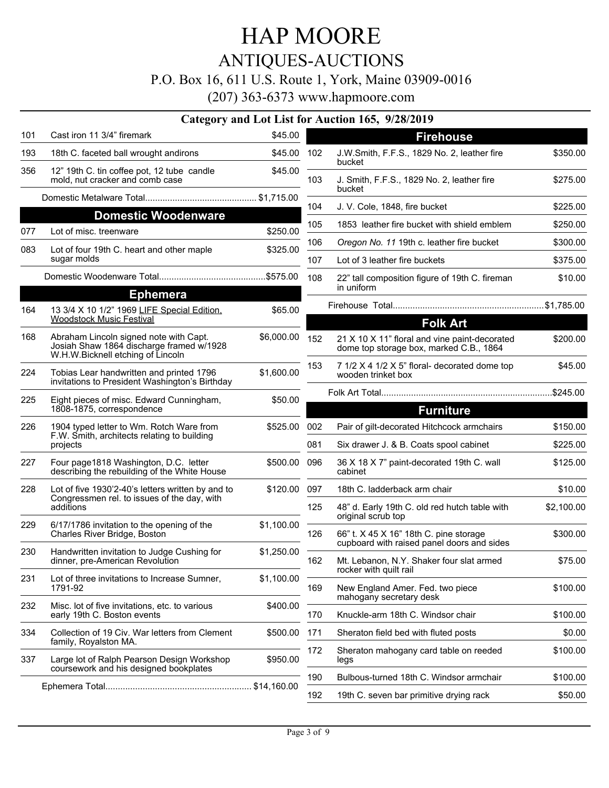## ANTIQUES-AUCTIONS

#### P.O. Box 16, 611 U.S. Route 1, York, Maine 03909-0016

|     |                                                                                                     |            |                  | Category and Lot List for Auction 165, 9/28/2019                                         |            |  |
|-----|-----------------------------------------------------------------------------------------------------|------------|------------------|------------------------------------------------------------------------------------------|------------|--|
| 101 | Cast iron 11 3/4" firemark                                                                          | \$45.00    |                  | <b>Firehouse</b>                                                                         |            |  |
| 193 | 18th C. faceted ball wrought andirons                                                               | \$45.00    | 102              | J.W.Smith, F.F.S., 1829 No. 2, leather fire<br>bucket                                    | \$350.00   |  |
| 356 | 12" 19th C. tin coffee pot, 12 tube candle<br>mold, nut cracker and comb case                       | \$45.00    | 103              | J. Smith, F.F.S., 1829 No. 2, leather fire                                               | \$275.00   |  |
|     |                                                                                                     |            |                  | bucket                                                                                   |            |  |
|     | <b>Domestic Woodenware</b>                                                                          |            | 104              | J. V. Cole, 1848, fire bucket                                                            | \$225.00   |  |
| 077 | Lot of misc, treenware                                                                              | \$250.00   | 105              | 1853 leather fire bucket with shield emblem                                              | \$250.00   |  |
| 083 | Lot of four 19th C. heart and other maple                                                           | \$325.00   | 106              | Oregon No. 11 19th c. leather fire bucket                                                | \$300.00   |  |
|     | sugar molds                                                                                         |            | 107              | Lot of 3 leather fire buckets                                                            | \$375.00   |  |
|     |                                                                                                     |            | 108              | 22" tall composition figure of 19th C. fireman<br>in uniform                             | \$10.00    |  |
|     | <b>Ephemera</b>                                                                                     |            |                  |                                                                                          |            |  |
| 164 | 13 3/4 X 10 1/2" 1969 LIFE Special Edition.<br><b>Woodstock Music Festival</b>                      | \$65.00    |                  |                                                                                          |            |  |
| 168 | Abraham Lincoln signed note with Capt.                                                              | \$6,000.00 |                  | <b>Folk Art</b>                                                                          |            |  |
|     | Josiah Shaw 1864 discharge framed w/1928<br>W.H.W.Bicknell etching of Lincoln                       |            | 152              | 21 X 10 X 11" floral and vine paint-decorated<br>dome top storage box, marked C.B., 1864 | \$200.00   |  |
| 224 | Tobias Lear handwritten and printed 1796<br>invitations to President Washington's Birthday          | \$1,600.00 | 153              | 7 1/2 X 4 1/2 X 5" floral- decorated dome top<br>wooden trinket box                      | \$45.00    |  |
| 225 |                                                                                                     | \$50.00    |                  |                                                                                          |            |  |
|     | Eight pieces of misc. Edward Cunningham,<br>1808-1875, correspondence                               |            | <b>Furniture</b> |                                                                                          |            |  |
| 226 | 1904 typed letter to Wm. Rotch Ware from<br>F.W. Smith, architects relating to building<br>projects | \$525.00   | 002              | Pair of gilt-decorated Hitchcock armchairs                                               | \$150.00   |  |
|     |                                                                                                     |            | 081              | Six drawer J. & B. Coats spool cabinet                                                   | \$225.00   |  |
| 227 | Four page 1818 Washington, D.C. letter<br>describing the rebuilding of the White House              | \$500.00   | 096              | 36 X 18 X 7" paint-decorated 19th C. wall<br>cabinet                                     | \$125.00   |  |
| 228 | Lot of five 1930'2-40's letters written by and to                                                   | \$120.00   | 097              | 18th C. ladderback arm chair                                                             | \$10.00    |  |
|     | Congressmen rel. to issues of the day, with<br>additions                                            |            | 125              | 48" d. Early 19th C. old red hutch table with<br>original scrub top                      | \$2,100.00 |  |
| 229 | 6/17/1786 invitation to the opening of the<br>Charles River Bridge, Boston                          | \$1,100.00 | 126              | 66" t. X 45 X 16" 18th C. pine storage<br>cupboard with raised panel doors and sides     | \$300.00   |  |
| 230 | Handwritten invitation to Judge Cushing for<br>dinner, pre-American Revolution                      | \$1,250.00 | 162              | Mt. Lebanon, N.Y. Shaker four slat armed<br>rocker with quilt rail                       | \$75.00    |  |
| 231 | Lot of three invitations to Increase Sumner,<br>1791-92                                             | \$1,100.00 | 169              | New England Amer. Fed. two piece                                                         | \$100.00   |  |
| 232 | Misc. lot of five invitations, etc. to various<br>early 19th C. Boston events                       | \$400.00   | 170              | mahogany secretary desk<br>Knuckle-arm 18th C. Windsor chair                             | \$100.00   |  |
| 334 | Collection of 19 Civ. War letters from Clement                                                      | \$500.00   | 171              | Sheraton field bed with fluted posts                                                     | \$0.00     |  |
|     | family, Royalston MA.                                                                               |            | 172              | Sheraton mahogany card table on reeded                                                   | \$100.00   |  |
| 337 | Large lot of Ralph Pearson Design Workshop<br>coursework and his designed bookplates                | \$950.00   |                  | legs                                                                                     |            |  |
|     |                                                                                                     |            | 190              | Bulbous-turned 18th C. Windsor armchair                                                  | \$100.00   |  |
|     |                                                                                                     |            |                  | 19th C. seven bar primitive drying rack                                                  | \$50.00    |  |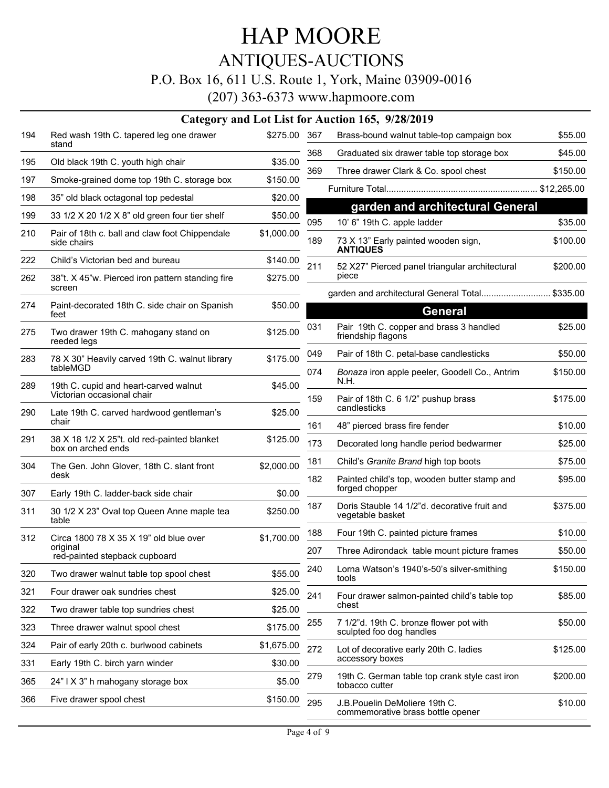## ANTIQUES-AUCTIONS

#### P.O. Box 16, 611 U.S. Route 1, York, Maine 03909-0016

|     |                                                                     |              |     | Category and Lot List for Auction 165, 9/28/2019                    |             |
|-----|---------------------------------------------------------------------|--------------|-----|---------------------------------------------------------------------|-------------|
| 194 | Red wash 19th C. tapered leg one drawer<br>stand                    | \$275.00 367 |     | Brass-bound walnut table-top campaign box                           | \$55.00     |
| 195 | Old black 19th C. youth high chair                                  | \$35.00      | 368 | Graduated six drawer table top storage box                          | \$45.00     |
| 197 | Smoke-grained dome top 19th C. storage box                          | \$150.00     | 369 | Three drawer Clark & Co. spool chest                                | \$150.00    |
| 198 | 35" old black octagonal top pedestal                                | \$20.00      |     |                                                                     | \$12,265.00 |
| 199 | 33 1/2 X 20 1/2 X 8" old green four tier shelf                      | \$50.00      |     | garden and architectural General                                    |             |
|     |                                                                     |              | 095 | 10' 6" 19th C. apple ladder                                         | \$35.00     |
| 210 | Pair of 18th c. ball and claw foot Chippendale<br>side chairs       | \$1,000.00   | 189 | 73 X 13" Early painted wooden sign,<br><b>ANTIQUES</b>              | \$100.00    |
| 222 | Child's Victorian bed and bureau                                    | \$140.00     | 211 | 52 X27" Pierced panel triangular architectural                      | \$200.00    |
| 262 | 38"t. X 45"w. Pierced iron pattern standing fire<br>screen          | \$275.00     |     | piece                                                               |             |
| 274 | Paint-decorated 18th C. side chair on Spanish                       | \$50.00      |     | garden and architectural General Total \$335.00                     |             |
|     | feet                                                                |              |     | <b>General</b>                                                      |             |
| 275 | Two drawer 19th C. mahogany stand on<br>reeded legs                 | \$125.00     | 031 | Pair 19th C. copper and brass 3 handled<br>friendship flagons       | \$25.00     |
| 283 | 78 X 30" Heavily carved 19th C. walnut library                      | \$175.00     | 049 | Pair of 18th C. petal-base candlesticks                             | \$50.00     |
|     | tableMGD                                                            |              | 074 | Bonaza iron apple peeler, Goodell Co., Antrim                       | \$150.00    |
| 289 | 19th C. cupid and heart-carved walnut<br>Victorian occasional chair | \$45.00      |     | N.H.                                                                |             |
| 290 | Late 19th C. carved hardwood gentleman's                            | \$25.00      | 159 | Pair of 18th C. 6 1/2" pushup brass<br>candlesticks                 | \$175.00    |
|     | chair                                                               |              | 161 | 48" pierced brass fire fender                                       | \$10.00     |
| 291 | 38 X 18 1/2 X 25"t. old red-painted blanket<br>box on arched ends   | \$125.00     | 173 | Decorated long handle period bedwarmer                              | \$25.00     |
| 304 | The Gen. John Glover, 18th C. slant front                           | \$2,000.00   | 181 | Child's Granite Brand high top boots                                | \$75.00     |
|     | desk                                                                |              | 182 | Painted child's top, wooden butter stamp and                        | \$95.00     |
| 307 | Early 19th C. ladder-back side chair                                | \$0.00       |     | forged chopper                                                      |             |
| 311 | 30 1/2 X 23" Oval top Queen Anne maple tea<br>table                 | \$250.00     | 187 | Doris Stauble 14 1/2"d. decorative fruit and<br>vegetable basket    | \$375.00    |
| 312 | Circa 1800 78 X 35 X 19" old blue over                              | \$1,700.00   | 188 | Four 19th C. painted picture frames                                 | \$10.00     |
|     | original<br>red-painted stepback cupboard                           |              | 207 | Three Adirondack table mount picture frames                         | \$50.00     |
| 320 | Two drawer walnut table top spool chest                             | \$55.00      | 240 | Lorna Watson's 1940's-50's silver-smithing<br>tools                 | \$150.00    |
| 321 | Four drawer oak sundries chest                                      | \$25.00      | 241 | Four drawer salmon-painted child's table top                        | \$85.00     |
| 322 | Two drawer table top sundries chest                                 | \$25.00      |     | chest                                                               |             |
| 323 | Three drawer walnut spool chest                                     | \$175.00     | 255 | 7 1/2"d. 19th C. bronze flower pot with<br>sculpted foo dog handles | \$50.00     |
| 324 | Pair of early 20th c. burlwood cabinets                             | \$1,675.00   | 272 | Lot of decorative early 20th C. ladies                              | \$125.00    |
| 331 | Early 19th C. birch yarn winder                                     | \$30.00      |     | accessory boxes                                                     |             |
| 365 | 24" I X 3" h mahogany storage box                                   | \$5.00       | 279 | 19th C. German table top crank style cast iron<br>tobacco cutter    | \$200.00    |
| 366 | Five drawer spool chest                                             | \$150.00     | 295 | J.B. Pouelin DeMoliere 19th C.<br>commemorative brass bottle opener | \$10.00     |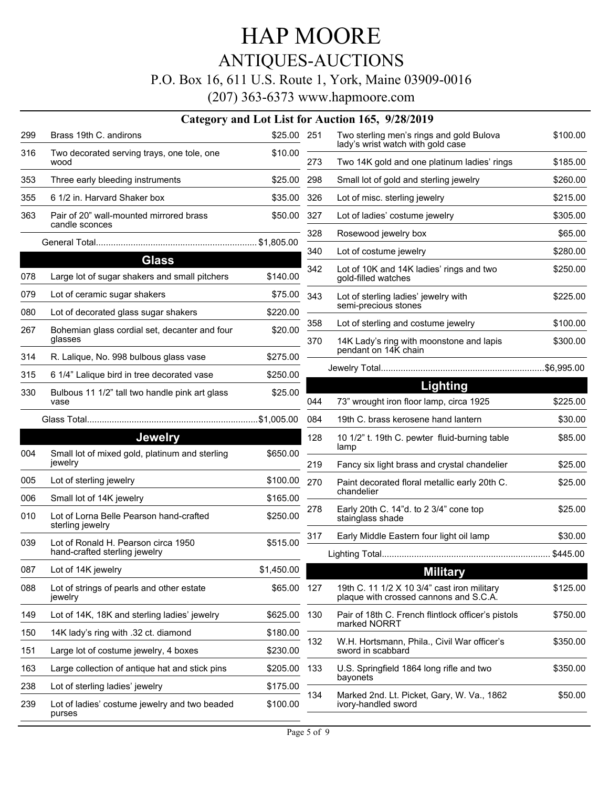## ANTIQUES-AUCTIONS

### P.O. Box 16, 611 U.S. Route 1, York, Maine 03909-0016

|     |                                                             |             |            | Category and Lot List for Auction 165, 9/28/2019                                      |                      |
|-----|-------------------------------------------------------------|-------------|------------|---------------------------------------------------------------------------------------|----------------------|
| 299 | Brass 19th C. andirons                                      | \$25.00 251 |            | Two sterling men's rings and gold Bulova<br>lady's wrist watch with gold case         | \$100.00             |
| 316 | Two decorated serving trays, one tole, one<br>wood          | \$10.00     | 273        | Two 14K gold and one platinum ladies' rings                                           | \$185.00             |
| 353 | Three early bleeding instruments                            | \$25.00     | 298        | Small lot of gold and sterling jewelry                                                | \$260.00             |
| 355 | 6 1/2 in. Harvard Shaker box                                | \$35.00     | 326        | Lot of misc. sterling jewelry                                                         | \$215.00             |
| 363 | Pair of 20" wall-mounted mirrored brass<br>candle sconces   | \$50.00     | 327        | Lot of ladies' costume jewelry                                                        | \$305.00             |
|     |                                                             |             | 328        | Rosewood jewelry box                                                                  | \$65.00              |
|     | <b>Glass</b>                                                |             | 340        | Lot of costume jewelry                                                                | \$280.00             |
| 078 | Large lot of sugar shakers and small pitchers               | \$140.00    | 342        | Lot of 10K and 14K ladies' rings and two<br>gold-filled watches                       | \$250.00             |
| 079 | Lot of ceramic sugar shakers                                | \$75.00     | 343        | Lot of sterling ladies' jewelry with                                                  | \$225.00             |
| 080 | Lot of decorated glass sugar shakers                        | \$220.00    |            | semi-precious stones                                                                  |                      |
| 267 | Bohemian glass cordial set, decanter and four<br>glasses    | \$20.00     | 358<br>370 | Lot of sterling and costume jewelry<br>14K Lady's ring with moonstone and lapis       | \$100.00<br>\$300.00 |
| 314 | R. Lalique, No. 998 bulbous glass vase                      | \$275.00    |            | pendant on 14K chain                                                                  |                      |
| 315 | 6 1/4" Lalique bird in tree decorated vase                  | \$250.00    |            |                                                                                       |                      |
| 330 | Bulbous 11 1/2" tall two handle pink art glass              | \$25.00     |            | Lighting                                                                              |                      |
|     | vase                                                        |             | 044        | 73" wrought iron floor lamp, circa 1925                                               | \$225.00             |
|     |                                                             |             | 084        | 19th C. brass kerosene hand lantern                                                   | \$30.00              |
|     | <b>Jewelry</b>                                              |             | 128        | 10 1/2" t. 19th C. pewter fluid-burning table<br>lamp                                 | \$85.00              |
| 004 | Small lot of mixed gold, platinum and sterling<br>jewelry   | \$650.00    | 219        | Fancy six light brass and crystal chandelier                                          | \$25.00              |
| 005 | Lot of sterling jewelry                                     | \$100.00    | 270        | Paint decorated floral metallic early 20th C.                                         | \$25.00              |
| 006 | Small lot of 14K jewelry                                    | \$165.00    |            | chandelier                                                                            |                      |
| 010 | Lot of Lorna Belle Pearson hand-crafted<br>sterling jewelry | \$250.00    | 278        | Early 20th C. 14"d. to 2 3/4" cone top<br>stainglass shade                            | \$25.00              |
| 039 | Lot of Ronald H. Pearson circa 1950                         | \$515.00    | 317        | Early Middle Eastern four light oil lamp                                              | \$30.00              |
|     | hand-crafted sterling jewelry                               |             |            |                                                                                       | \$445.00             |
| 087 | Lot of 14K jewelry                                          | \$1,450.00  |            | <b>Military</b>                                                                       |                      |
| 088 | Lot of strings of pearls and other estate<br>jewelry        | \$65.00     | 127        | 19th C. 11 1/2 X 10 3/4" cast iron military<br>plaque with crossed cannons and S.C.A. | \$125.00             |
| 149 | Lot of 14K, 18K and sterling ladies' jewelry                | \$625.00    | 130        | Pair of 18th C. French flintlock officer's pistols                                    | \$750.00             |
| 150 | 14K lady's ring with .32 ct. diamond                        | \$180.00    |            | marked NORRT                                                                          |                      |
| 151 | Large lot of costume jewelry, 4 boxes                       | \$230.00    | 132        | W.H. Hortsmann, Phila., Civil War officer's<br>sword in scabbard                      | \$350.00             |
| 163 | Large collection of antique hat and stick pins              | \$205.00    | 133        | U.S. Springfield 1864 long rifle and two                                              | \$350.00             |
| 238 | Lot of sterling ladies' jewelry                             | \$175.00    |            | bayonets                                                                              |                      |
| 239 | Lot of ladies' costume jewelry and two beaded<br>purses     | \$100.00    | 134        | Marked 2nd. Lt. Picket, Gary, W. Va., 1862<br>ivory-handled sword                     | \$50.00              |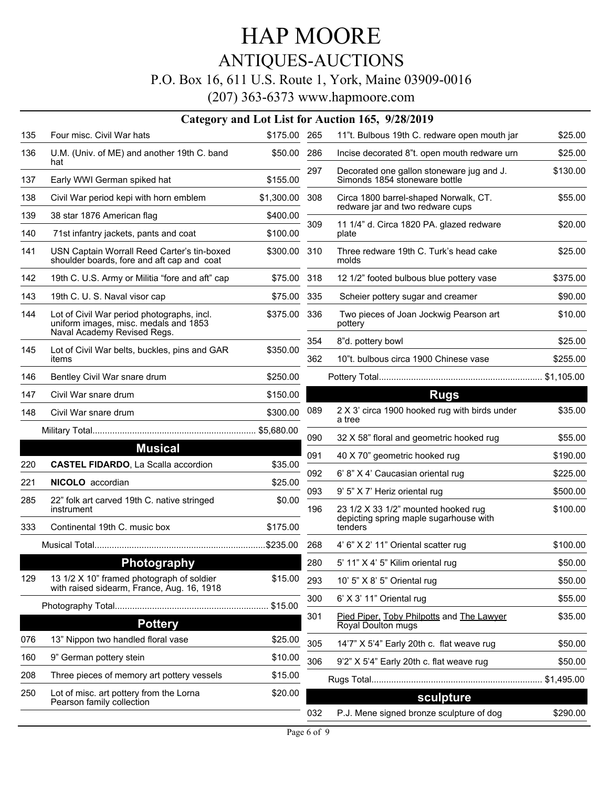## ANTIQUES-AUCTIONS

### P.O. Box 16, 611 U.S. Route 1, York, Maine 03909-0016

|     |                                                                                                                    |              |            | Category and Lot List for Auction 165, 9/28/2019                           |                      |
|-----|--------------------------------------------------------------------------------------------------------------------|--------------|------------|----------------------------------------------------------------------------|----------------------|
| 135 | Four misc. Civil War hats                                                                                          | \$175.00 265 |            | 11"t. Bulbous 19th C. redware open mouth jar                               | \$25.00              |
| 136 | U.M. (Univ. of ME) and another 19th C. band<br>hat                                                                 | \$50.00      | 286        | Incise decorated 8"t. open mouth redware urn                               | \$25.00              |
| 137 | Early WWI German spiked hat                                                                                        | \$155.00     | 297        | Decorated one gallon stoneware jug and J.<br>Simonds 1854 stoneware bottle | \$130.00             |
| 138 | Civil War period kepi with horn emblem                                                                             | \$1,300.00   | 308        | Circa 1800 barrel-shaped Norwalk, CT.<br>redware jar and two redware cups  | \$55.00              |
| 139 | 38 star 1876 American flag                                                                                         | \$400.00     |            |                                                                            |                      |
| 140 | 71st infantry jackets, pants and coat                                                                              | \$100.00     | 309        | 11 1/4" d. Circa 1820 PA. glazed redware<br>plate                          | \$20.00              |
| 141 | USN Captain Worrall Reed Carter's tin-boxed<br>shoulder boards, fore and aft cap and coat                          | \$300.00     | 310        | Three redware 19th C. Turk's head cake<br>molds                            | \$25.00              |
| 142 | 19th C. U.S. Army or Militia "fore and aft" cap                                                                    | \$75.00      | 318        | 12 1/2" footed bulbous blue pottery vase                                   | \$375.00             |
| 143 | 19th C. U. S. Naval visor cap                                                                                      | \$75.00      | 335        | Scheier pottery sugar and creamer                                          | \$90.00              |
| 144 | Lot of Civil War period photographs, incl.<br>uniform images, misc. medals and 1853<br>Naval Academy Revised Regs. | \$375.00     | 336        | Two pieces of Joan Jockwig Pearson art<br>pottery                          | \$10.00              |
|     |                                                                                                                    |              | 354        | 8"d. pottery bowl                                                          | \$25.00              |
| 145 | Lot of Civil War belts, buckles, pins and GAR<br>items                                                             | \$350.00     | 362        | 10"t. bulbous circa 1900 Chinese vase                                      | \$255.00             |
| 146 | Bentley Civil War snare drum                                                                                       | \$250.00     |            |                                                                            |                      |
| 147 | Civil War snare drum                                                                                               | \$150.00     |            | <b>Rugs</b>                                                                |                      |
| 148 | Civil War snare drum                                                                                               | \$300.00     | 089        | 2 X 3' circa 1900 hooked rug with birds under<br>a tree                    | \$35.00              |
|     |                                                                                                                    |              | 090        | 32 X 58" floral and geometric hooked rug                                   | \$55.00              |
|     | <b>Musical</b>                                                                                                     |              | 091        | 40 X 70" geometric hooked rug                                              | \$190.00             |
| 220 | <b>CASTEL FIDARDO, La Scalla accordion</b>                                                                         | \$35.00      |            |                                                                            |                      |
| 221 | <b>NICOLO</b> accordian                                                                                            | \$25.00      | 092        | 6' 8" X 4' Caucasian oriental rug                                          | \$225.00             |
| 285 | 22" folk art carved 19th C. native stringed<br>instrument                                                          | \$0.00       | 093<br>196 | 9' 5" X 7' Heriz oriental rug<br>23 1/2 X 33 1/2" mounted hooked rug       | \$500.00<br>\$100.00 |
| 333 | Continental 19th C. music box                                                                                      | \$175.00     |            | depicting spring maple sugarhouse with<br>tenders                          |                      |
|     |                                                                                                                    |              | 268        | 4' 6" X 2' 11" Oriental scatter rug                                        | \$100.00             |
|     |                                                                                                                    |              |            |                                                                            |                      |
|     | <u>Photography</u>                                                                                                 |              | 280        | 5' 11" X 4' 5" Kilim oriental rug                                          | \$50.00              |
| 129 | 13 1/2 X 10" framed photograph of soldier<br>with raised sidearm, France, Aug. 16, 1918                            | \$15.00      | 293        | 10' 5" X 8' 5" Oriental rug                                                | \$50.00              |
|     |                                                                                                                    |              | 300        | 6' X 3' 11" Oriental rug                                                   | \$55.00              |
|     | <b>Pottery</b>                                                                                                     |              | 301        | Pied Piper. Toby Philpotts and The Lawyer<br>Royal Doulton mugs            | \$35.00              |
| 076 | 13" Nippon two handled floral vase                                                                                 | \$25.00      | 305        | 14'7" X 5'4" Early 20th c. flat weave rug                                  | \$50.00              |
| 160 | 9" German pottery stein                                                                                            | \$10.00      | 306        | 9'2" X 5'4" Early 20th c. flat weave rug                                   | \$50.00              |
| 208 | Three pieces of memory art pottery vessels                                                                         | \$15.00      |            |                                                                            | \$1,495.00           |
| 250 | Lot of misc. art pottery from the Lorna                                                                            | \$20.00      |            |                                                                            |                      |
|     | Pearson family collection                                                                                          |              |            | sculpture                                                                  |                      |
|     |                                                                                                                    |              | 032        | P.J. Mene signed bronze sculpture of dog                                   | \$290.00             |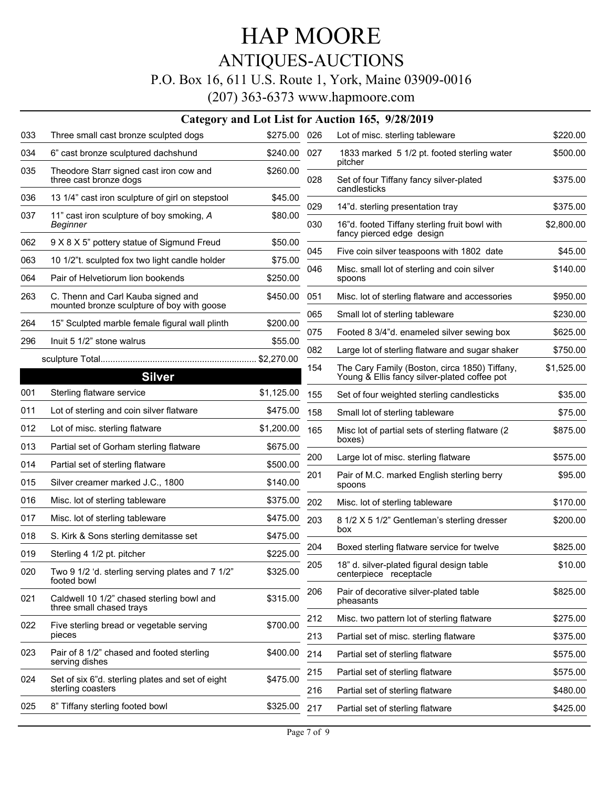# HAP MOORE ANTIQUES-AUCTIONS P.O. Box 16, 611 U.S. Route 1, York, Maine 03909-0016

|     |                                                                                  |              |     | Category and Lot List for Auction 165, 9/28/2019                                              |            |
|-----|----------------------------------------------------------------------------------|--------------|-----|-----------------------------------------------------------------------------------------------|------------|
| 033 | Three small cast bronze sculpted dogs                                            | \$275.00 026 |     | Lot of misc. sterling tableware                                                               | \$220.00   |
| 034 | 6" cast bronze sculptured dachshund                                              | \$240.00     | 027 | 1833 marked 5 1/2 pt. footed sterling water<br>pitcher                                        | \$500.00   |
| 035 | Theodore Starr signed cast iron cow and<br>three cast bronze dogs                | \$260.00     | 028 | Set of four Tiffany fancy silver-plated<br>candlesticks                                       | \$375.00   |
| 036 | 13 1/4" cast iron sculpture of girl on stepstool                                 | \$45.00      |     |                                                                                               |            |
| 037 | 11" cast iron sculpture of boy smoking, A                                        | \$80.00      | 029 | 14"d. sterling presentation tray                                                              | \$375.00   |
|     | Beginner                                                                         |              | 030 | 16"d. footed Tiffany sterling fruit bowl with<br>fancy pierced edge design                    | \$2,800.00 |
| 062 | 9 X 8 X 5" pottery statue of Sigmund Freud                                       | \$50.00      | 045 | Five coin silver teaspoons with 1802 date                                                     | \$45.00    |
| 063 | 10 1/2"t. sculpted fox two light candle holder                                   | \$75.00      | 046 | Misc. small lot of sterling and coin silver                                                   | \$140.00   |
| 064 | Pair of Helvetiorum lion bookends                                                | \$250.00     |     | spoons                                                                                        |            |
| 263 | C. Thenn and Carl Kauba signed and<br>mounted bronze sculpture of boy with goose | \$450.00     | 051 | Misc. lot of sterling flatware and accessories                                                | \$950.00   |
|     | 15" Sculpted marble female figural wall plinth                                   | \$200.00     | 065 | Small lot of sterling tableware                                                               | \$230.00   |
| 264 |                                                                                  |              | 075 | Footed 8 3/4"d. enameled silver sewing box                                                    | \$625.00   |
| 296 | Inuit 5 1/2" stone walrus                                                        | \$55.00      | 082 | Large lot of sterling flatware and sugar shaker                                               | \$750.00   |
|     | <b>Silver</b>                                                                    |              | 154 | The Cary Family (Boston, circa 1850) Tiffany,<br>Young & Ellis fancy silver-plated coffee pot | \$1,525.00 |
| 001 | Sterling flatware service                                                        | \$1,125.00   | 155 | Set of four weighted sterling candlesticks                                                    | \$35.00    |
| 011 | Lot of sterling and coin silver flatware                                         | \$475.00     | 158 | Small lot of sterling tableware                                                               | \$75.00    |
| 012 | Lot of misc. sterling flatware                                                   | \$1,200.00   | 165 | Misc lot of partial sets of sterling flatware (2)                                             | \$875.00   |
| 013 | Partial set of Gorham sterling flatware                                          | \$675.00     |     | boxes)                                                                                        |            |
| 014 | Partial set of sterling flatware                                                 | \$500.00     | 200 | Large lot of misc. sterling flatware                                                          | \$575.00   |
| 015 | Silver creamer marked J.C., 1800                                                 | \$140.00     | 201 | Pair of M.C. marked English sterling berry<br>spoons                                          | \$95.00    |
| 016 | Misc. lot of sterling tableware                                                  | \$375.00     | 202 | Misc. lot of sterling tableware                                                               | \$170.00   |
| 017 | Misc. lot of sterling tableware                                                  | \$475.00     | 203 | 8 1/2 X 5 1/2" Gentleman's sterling dresser                                                   | \$200.00   |
| 018 | S. Kirk & Sons sterling demitasse set                                            | \$475.00     |     | box                                                                                           |            |
| 019 | Sterling 4 1/2 pt. pitcher                                                       | \$225.00     | 204 | Boxed sterling flatware service for twelve                                                    | \$825.00   |
| 020 | Two 9 1/2 'd. sterling serving plates and 7 1/2"<br>footed bowl                  | \$325.00     | 205 | 18" d. silver-plated figural design table<br>centerpiece receptacle                           | \$10.00    |
| 021 | Caldwell 10 1/2" chased sterling bowl and<br>three small chased trays            | \$315.00     | 206 | Pair of decorative silver-plated table<br>pheasants                                           | \$825.00   |
| 022 | Five sterling bread or vegetable serving                                         | \$700.00     | 212 | Misc. two pattern lot of sterling flatware                                                    | \$275.00   |
|     | pieces                                                                           |              | 213 | Partial set of misc. sterling flatware                                                        | \$375.00   |
| 023 | Pair of 8 1/2" chased and footed sterling<br>serving dishes                      | \$400.00     | 214 | Partial set of sterling flatware                                                              | \$575.00   |
|     |                                                                                  |              | 215 | Partial set of sterling flatware                                                              | \$575.00   |
| 024 | Set of six 6"d. sterling plates and set of eight<br>sterling coasters            | \$475.00     | 216 | Partial set of sterling flatware                                                              | \$480.00   |
| 025 | 8" Tiffany sterling footed bowl                                                  | \$325.00     | 217 | Partial set of sterling flatware                                                              | \$425.00   |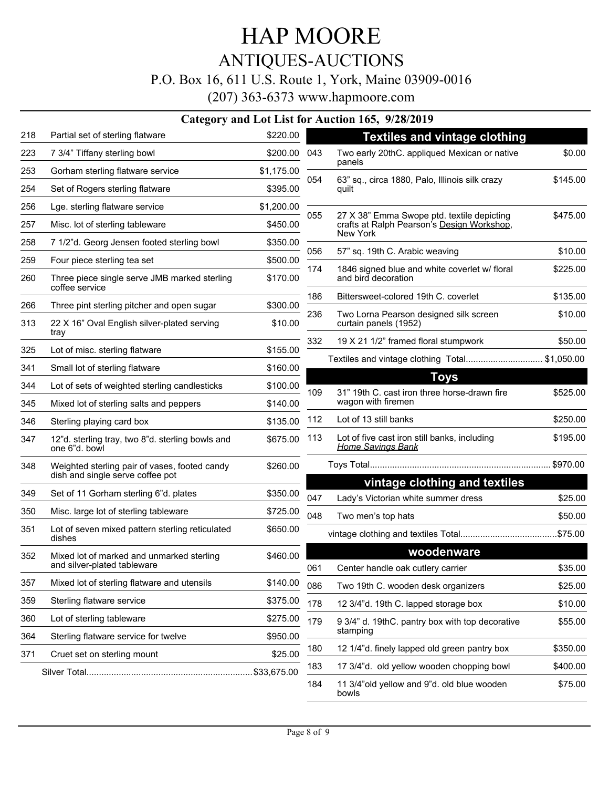# HAP MOORE ANTIQUES-AUCTIONS

#### P.O. Box 16, 611 U.S. Route 1, York, Maine 03909-0016

(207) 363-6373 www.hapmoore.com

#### **Category and Lot List for Auction 165, 9/28/2019**

| 218 | Partial set of sterling flatware                                                  | \$220.00   |     | <b>Textiles and vintage clothing</b>                                                                 |          |
|-----|-----------------------------------------------------------------------------------|------------|-----|------------------------------------------------------------------------------------------------------|----------|
| 223 | 7 3/4" Tiffany sterling bowl                                                      | \$200.00   | 043 | Two early 20thC. appliqued Mexican or native                                                         | \$0.00   |
| 253 | Gorham sterling flatware service                                                  | \$1,175.00 |     | panels                                                                                               |          |
| 254 | Set of Rogers sterling flatware                                                   | \$395.00   | 054 | 63" sq., circa 1880, Palo, Illinois silk crazy<br>quilt                                              | \$145.00 |
| 256 | Lge. sterling flatware service                                                    | \$1,200.00 |     |                                                                                                      |          |
| 257 | Misc. lot of sterling tableware                                                   | \$450.00   | 055 | 27 X 38" Emma Swope ptd. textile depicting<br>crafts at Ralph Pearson's Design Workshop,<br>New York | \$475.00 |
| 258 | 7 1/2"d. Georg Jensen footed sterling bowl                                        | \$350.00   | 056 | 57" sq. 19th C. Arabic weaving                                                                       | \$10.00  |
| 259 | Four piece sterling tea set                                                       | \$500.00   |     |                                                                                                      |          |
| 260 | Three piece single serve JMB marked sterling<br>coffee service                    | \$170.00   | 174 | 1846 signed blue and white coverlet w/ floral<br>and bird decoration                                 | \$225.00 |
| 266 | Three pint sterling pitcher and open sugar                                        | \$300.00   | 186 | Bittersweet-colored 19th C. coverlet                                                                 | \$135.00 |
| 313 | 22 X 16" Oval English silver-plated serving                                       | \$10.00    | 236 | Two Lorna Pearson designed silk screen<br>curtain panels (1952)                                      | \$10.00  |
|     | tray                                                                              |            | 332 | 19 X 21 1/2" framed floral stumpwork                                                                 | \$50.00  |
| 325 | Lot of misc. sterling flatware                                                    | \$155.00   |     | Textiles and vintage clothing Total\$1,050.00                                                        |          |
| 341 | Small lot of sterling flatware                                                    | \$160.00   |     | <b>Toys</b>                                                                                          |          |
| 344 | Lot of sets of weighted sterling candlesticks                                     | \$100.00   | 109 | 31" 19th C. cast iron three horse-drawn fire                                                         | \$525.00 |
| 345 | Mixed lot of sterling salts and peppers                                           | \$140.00   |     | wagon with firemen                                                                                   |          |
| 346 | Sterling playing card box                                                         | \$135.00   | 112 | Lot of 13 still banks                                                                                | \$250.00 |
| 347 | 12"d. sterling tray, two 8"d. sterling bowls and<br>one 6"d. bowl                 | \$675.00   | 113 | Lot of five cast iron still banks, including<br><b>Home Savings Bank</b>                             | \$195.00 |
| 348 | Weighted sterling pair of vases, footed candy<br>dish and single serve coffee pot | \$260.00   |     |                                                                                                      |          |
| 349 | Set of 11 Gorham sterling 6"d. plates                                             | \$350.00   | 047 | vintage clothing and textiles<br>Lady's Victorian white summer dress                                 | \$25.00  |
| 350 | Misc. large lot of sterling tableware                                             | \$725.00   |     |                                                                                                      |          |
| 351 | Lot of seven mixed pattern sterling reticulated                                   | \$650.00   | 048 | Two men's top hats                                                                                   | \$50.00  |
|     | dishes                                                                            |            |     |                                                                                                      |          |
| 352 | Mixed lot of marked and unmarked sterling<br>and silver-plated tableware          | \$460.00   | 061 | woodenware                                                                                           |          |
| 357 | Mixed lot of sterling flatware and utensils                                       | \$140.00   | 086 | Center handle oak cutlery carrier                                                                    | \$35.00  |
| 359 | Sterling flatware service                                                         | \$375.00   |     | Two 19th C. wooden desk organizers                                                                   | \$25.00  |
| 360 | Lot of sterling tableware                                                         | \$275.00   | 178 | 12 3/4"d. 19th C. lapped storage box                                                                 | \$10.00  |
| 364 | Sterling flatware service for twelve                                              | \$950.00   | 179 | 9 3/4" d. 19thC. pantry box with top decorative<br>stamping                                          | \$55.00  |
| 371 |                                                                                   | \$25.00    | 180 | 12 1/4"d. finely lapped old green pantry box                                                         | \$350.00 |
|     | Cruet set on sterling mount                                                       |            | 183 | 17 3/4"d. old yellow wooden chopping bowl                                                            | \$400.00 |
|     |                                                                                   |            | 184 | 11 3/4"old yellow and 9"d. old blue wooden<br>bowls                                                  | \$75.00  |